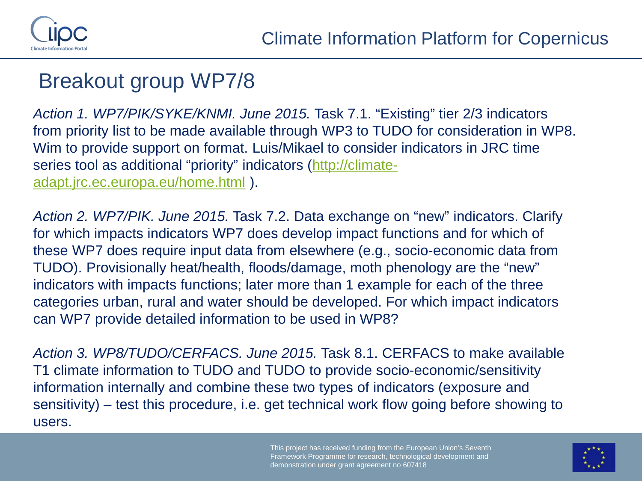

## Breakout group WP7/8

*Action 1. WP7/PIK/SYKE/KNMI. June 2015.* Task 7.1. "Existing" tier 2/3 indicators from priority list to be made available through WP3 to TUDO for consideration in WP8. Wim to provide support on format. Luis/Mikael to consider indicators in JRC time series tool as additional "priority" indicators [\(http://climate](http://climate-adapt.jrc.ec.europa.eu/home.html)[adapt.jrc.ec.europa.eu/home.html](http://climate-adapt.jrc.ec.europa.eu/home.html) ).

*Action 2. WP7/PIK. June 2015.* Task 7.2. Data exchange on "new" indicators. Clarify for which impacts indicators WP7 does develop impact functions and for which of these WP7 does require input data from elsewhere (e.g., socio-economic data from TUDO). Provisionally heat/health, floods/damage, moth phenology are the "new" indicators with impacts functions; later more than 1 example for each of the three categories urban, rural and water should be developed. For which impact indicators can WP7 provide detailed information to be used in WP8?

*Action 3. WP8/TUDO/CERFACS. June 2015.* Task 8.1. CERFACS to make available T1 climate information to TUDO and TUDO to provide socio-economic/sensitivity information internally and combine these two types of indicators (exposure and sensitivity) – test this procedure, i.e. get technical work flow going before showing to users.